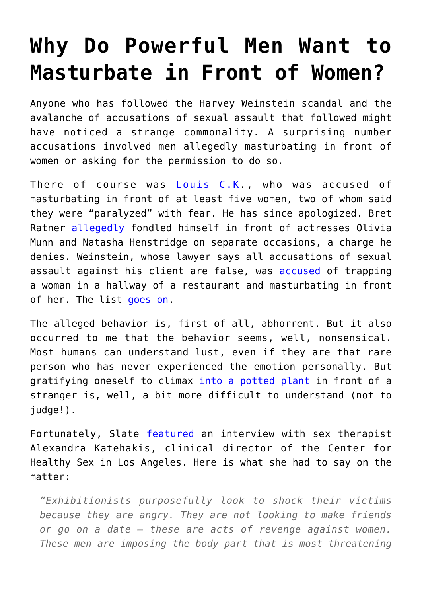## **[Why Do Powerful Men Want to](https://intellectualtakeout.org/2017/11/why-do-powerful-men-want-to-masturbate-in-front-of-women/) [Masturbate in Front of Women?](https://intellectualtakeout.org/2017/11/why-do-powerful-men-want-to-masturbate-in-front-of-women/)**

Anyone who has followed the Harvey Weinstein scandal and the avalanche of accusations of sexual assault that followed might have noticed a strange commonality. A surprising number accusations involved men allegedly masturbating in front of women or asking for the permission to do so.

There of course was [Louis C.K.](https://www.nytimes.com/2017/11/09/arts/television/louis-ck-sexual-misconduct.html?action=click&contentCollection=Movies&module=RelatedCoverage®ion=Marginalia&pgtype=article), who was accused of masturbating in front of at least five women, two of whom said they were "paralyzed" with fear. He has since apologized. Bret Ratner [allegedly](http://www.slate.com/blogs/browbeat/2017/11/01/olivia_munn_and_five_others_accuse_brett_ratner_of_sexual_abuse.html) fondled himself in front of actresses Olivia Munn and Natasha Henstridge on separate occasions, a charge he denies. Weinstein, whose lawyer says all accusations of sexual assault against his client are false, was **accused** of trapping a woman in a hallway of a restaurant and masturbating in front of her. The list [goes on.](http://www.vulture.com/2017/10/james-toback-accused-of-sexual-harassment-by-over-30-women.html)

The alleged behavior is, first of all, abhorrent. But it also occurred to me that the behavior seems, well, nonsensical. Most humans can understand lust, even if they are that rare person who has never experienced the emotion personally. But gratifying oneself to climax [into a potted plant](http://www.hollywoodreporter.com/news/harvey-weinstein-asked-ny-club-owner-deny-infamous-potted-plant-story-1049007) in front of a stranger is, well, a bit more difficult to understand (not to judge!).

Fortunately, Slate [featured](http://www.slate.com/blogs/browbeat/2017/11/09/a_sex_therapist_on_why_some_men_force_women_to_watch_them_masturbate.html) an interview with sex therapist Alexandra Katehakis, clinical director of the Center for Healthy Sex in Los Angeles. Here is what she had to say on the matter:

*"Exhibitionists purposefully look to shock their victims because they are angry. They are not looking to make friends or go on a date — these are acts of revenge against women. These men are imposing the body part that is most threatening*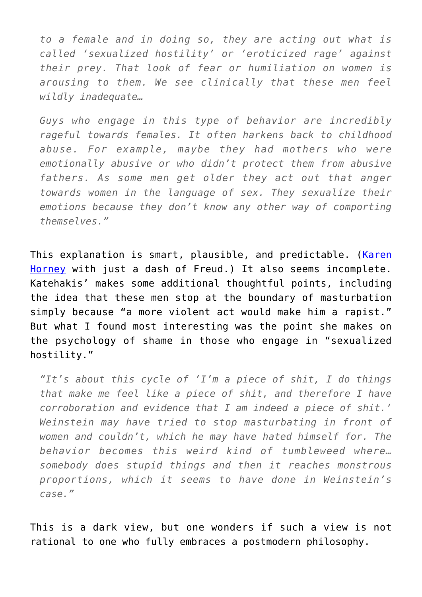*to a female and in doing so, they are acting out what is called 'sexualized hostility' or 'eroticized rage' against their prey. That look of fear or humiliation on women is arousing to them. We see clinically that these men feel wildly inadequate…*

*Guys who engage in this type of behavior are incredibly rageful towards females. It often harkens back to childhood abuse. For example, maybe they had mothers who were emotionally abusive or who didn't protect them from abusive fathers. As some men get older they act out that anger towards women in the language of sex. They sexualize their emotions because they don't know any other way of comporting themselves."*

This explanation is smart, plausible, and predictable. [\(Karen](https://en.wikipedia.org/wiki/Karen_Horney) [Horney](https://en.wikipedia.org/wiki/Karen_Horney) with just a dash of Freud.) It also seems incomplete. Katehakis' makes some additional thoughtful points, including the idea that these men stop at the boundary of masturbation simply because "a more violent act would make him a rapist." But what I found most interesting was the point she makes on the psychology of shame in those who engage in "sexualized hostility."

*"It's about this cycle of 'I'm a piece of shit, I do things that make me feel like a piece of shit, and therefore I have corroboration and evidence that I am indeed a piece of shit.' Weinstein may have tried to stop masturbating in front of women and couldn't, which he may have hated himself for. The behavior becomes this weird kind of tumbleweed where… somebody does stupid things and then it reaches monstrous proportions, which it seems to have done in Weinstein's case."*

This is a dark view, but one wonders if such a view is not rational to one who fully embraces a postmodern philosophy.